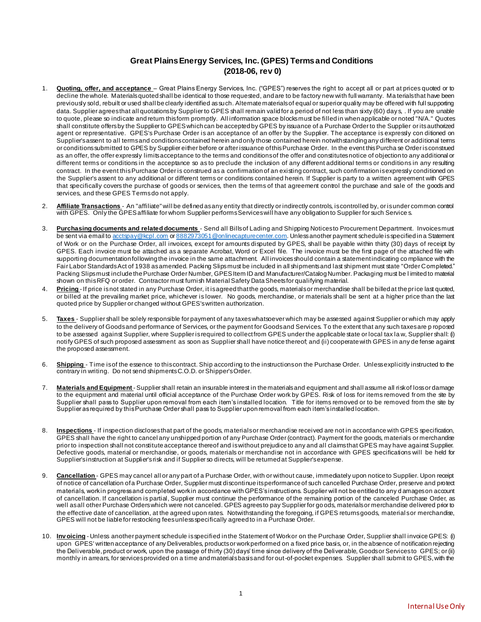# **Great Plains Energy Services, Inc. (GPES) Terms and Conditions (2018-06, rev 0)**

- 1. **Quoting, offer, and acceptance** Great Plains Energy Services, Inc. ("GPES") reserves the right to accept all or part at prices quoted or to decline the whole. Materials quoted shall be identical to those requested, and are to be factory new with full warranty. Ma terials that have been previously sold, rebuilt or used shall be clearly identified as such. Alternate materials of equal or superior quality may be offered with full supporting data. Supplier agrees that all quotations by Supplier to GPES shall remain valid for a period of not less than sixty (60) days, . If you are unable to quote, please so indicate and return this form promptly. All information space blocks must be filled in when applicable or noted "N/A." Quotes shall constitute offers by the Supplier to GPES which can be accepted by GPES by issuance of a Purchase Order to the Supplier or its authorized agent or representative. GPES's Purchase Order is an acceptance of an offer by the Supplier. The acceptance is expressly con ditioned on Supplier's assent to all terms and conditions contained herein and only those contained herein not with standing any different or additional terms or conditions submitted to GPES by Supplier either before or after issuance of this Purchase Order. In the event this Purcha se Order is construed as an offer, the offer expressly limits acceptance to the terms and conditions of the offer and constitutes notice of objection to any additional or different terms or conditions in the acceptance so as to preclude the inclusion of any different additional terms or conditions in any resulting contract. In the event this Purchase Order is construed as a confirmation of an existing contract, such confirmation is expressly conditioned on the Supplier's assent to any additional or different terms or conditions contained herein. If Supplier is party to a written agreement with GPES that specifically covers the purchase of goods or services, then the terms of that agreement control the purchase and sale of the goods and services, and these GPES Terms do not apply.
- 2. **Affiliate Transactions** An "affiliate" will be defined as any entity that directly or indirectly controls, is controlled by, or is under common control with GPES. Only the GPES affiliate for whom Supplier performs Services will have any obligation to Supplier for such Service s.
- 3. Purchasing documents and related documents Send all Bills of Lading and Shipping Noticesto Procurement Department. Invoices must be sent via email t[o acctspay@kcpl.com](mailto:acctspay@kcpl.com) [or 8882973051@onlinecapturecenter.com](mailto:8882973051@onlinecapturecenter.com). Unless another payment schedule is specified in a Statement of Work or on the Purchase Order, all invoices, except for amounts disputed by GPES, shall be payable within thirty (30) days of receipt by GPES. Each invoice must be attached as a separate Acrobat, Word or Excel file. The invoice must be the first page of the attached file with supporting documentation following the invoice in the same attachment. All invoices should contain a statement indicating compliance with the Fair Labor Standards Act of 1938 as amended. Packing Slips must be included in all shipments and last shipment must state "Order Completed." Packing Slips must include the Purchase Order Number, GPES Item ID and Manufacturer/Catalog Number. Packaging must be l imited to material shown on this RFQ or order. Contractor must furnish Material Safety Data Sheets for qualifying material.
- 4. **Pricing** -If price is not stated in any Purchase Order, it is agreed that the goods, materials or merchandise shall be billed at the price last quoted, or billed at the prevailing market price, whichever is lower. No goods, merchandise, or materials shall be sent at a higher price than the last quoted price by Supplier or changed without GPES's written authorization.
- 5. **Taxes** Supplier shall be solely responsible for payment of any taxes whatsoever which may be assessed against Supplier or which may apply to the delivery of Goods and performance of Services, or the payment for Goods and Services. To the extent that any such taxes are p roposed to be assessed against Supplier, where Supplier is required to collect from GPES under the applicable state or local tax la w, Supplier shall: (i) notify GPES of such proposed assessment as soon as Supplier shall have notice thereof; and (ii) cooperate with GPES in any de fense against the proposed assessment.
- 6. **Shipping**  Time is of the essence to this contract. Ship according to the instructions on the Purchase Order. Unless explicitly instructed to the contrary in writing. Do not send shipments C.O.D. or Shipper's Order.
- 7. **Materials and Equipment** Supplier shall retain an insurable interest in the materials and equipment and shall assume all risk of loss or damage to the equipment and material until official acceptance of the Purchase Order work by GPES. Risk of loss for items removed from the site by Supplier shall pass to Supplier upon removal from each item's installed location. Title for items removed or to be removed from the site by Supplier as required by this Purchase Order shall pass to Supplier upon removal from each item's installed location.
- 8. **Inspections** If inspection discloses that part of the goods, materials or merchandise received are not in accordance with GPES specification, GPES shall have the right to cancel any unshipped portion of any Purchase Order (contract). Payment for the goods, materials or merchandise prior to inspection shall not constitute acceptance thereof and is without prejudice to any and all claims that GPES may have against Supplier. Defective goods, material or merchandise, or goods, materials or merchandise not in accordance with GPES specifications will be held for Supplier's instruction at Supplier's risk and if Supplier so directs, will be returned at Supplier's expense.
- 9. **Cancellation** GPES may cancel all or any part of a Purchase Order, with or without cause, immediately upon notice to Supplier. Upon receipt of notice of cancellation of a Purchase Order, Supplier must discontinue its performance of such cancelled Purchase Order, preserve and protect materials, work in progress and completed work in accordance with GPES's instructions. Supplier will not be entitled to any d amages on account of cancellation. If cancellation is partial, Supplier must continue the performance of the remaining portion of the canceled Purchase Order, as well as all other Purchase Orders which were not canceled. GPES agrees to pay Supplier for go ods, materials or merchandise delivered prior to the effective date of cancellation, at the agreed upon rates. Notwithstanding the foregoing, if GPES returns goods, material s or merchandise, GPES will not be liable for restocking fees unless specifically agreed to in a Purchase Order.
- 10. **Inv oicing** Unless another payment schedule is specified in the Statement of Work or on the Purchase Order, Supplier shall invoice GPES: (i) upon GPES' written acceptance of any Deliverables, products or work performed on a fixed price basis, or, in the absence of notification rejecting the Deliverable, product or work, upon the passage of thirty (30) days' time since delivery of the Deliverable, Goods or Services to GPES; or (ii) monthly in arrears, for services provided on a time and materials basis and for out-of-pocket expenses. Supplier shall submit to GPES, with the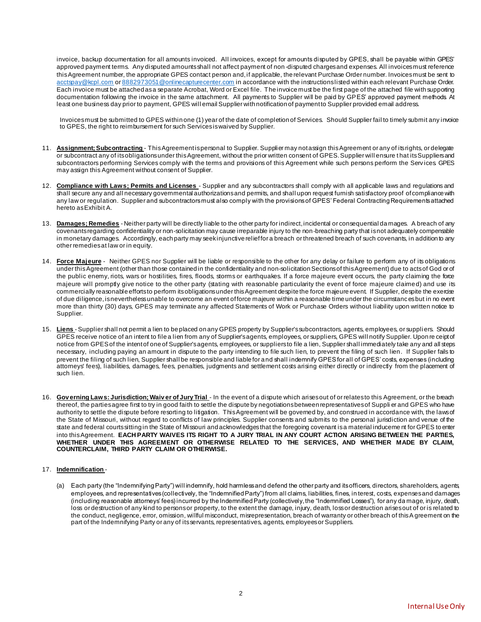invoice, backup documentation for all amounts invoiced. All invoices, except for amounts disputed by GPES, shall be payable within GPES' approved payment terms. Any disputed amounts shall not affect payment of non-disputed charges and expenses. All invoices must reference this Agreement number, the appropriate GPES contact person and, if applicable, the relevant Purchase Order number. Invoices must be sent to [acctspay@kcpl.com](mailto:acctspay@kcpl.com) o[r 8882973051@onlinecapturecenter.com](mailto:8882973051@onlinecapturecenter.com) in accordance with the instructions listed within each relevant Purchase Order. Each invoice must be attached as a separate Acrobat, Word or Excel file. The invoice must be the first page of the attached file with supporting documentation following the invoice in the same attachment. All payments to Supplier will be paid by GPES' approved payment methods. At least one business day prior to payment, GPES will email Supplier with notification of payment to Supplier provided email address.

Invoices must be submitted to GPES within one (1) year of the date of completion of Services. Should Supplier fail to timely submit any invoice to GPES, the right to reimbursement for such Services is waived by Supplier.

- 11. **Assignment; Subcontracting** This Agreement is personal to Supplier. Supplier may not assign this Agreement or any of its rights, or delegate or subcontract any of its obligations under this Agreement, without the prior written consent of GPES. Supplier will ensure t hat its Suppliers and subcontractors performing Services comply with the terms and provisions of this Agreement while such persons perform the Services GPES may assign this Agreement without consent of Supplier.
- 12. **Compliance with Laws; Permits and Licenses** Supplier and any subcontractors shall comply with all applicable laws and regulations and shall secure any and all necessary governmental authorizations and permits, and shall upon request furnish satisfactory proof of compliance with any law or regulation. Supplier and subcontractors must also comply with the provisions of GPES' Federal Contracting Requirements attached hereto as Exhibit A.
- 13. **Damages; Remedies** Neither party will be directly liable to the other party for indirect, incidental or consequential da mages. A breach of any covenants regarding confidentiality or non-solicitation may cause irreparable injury to the non-breaching party that is not adequately compensable in monetary damages. Accordingly, each party may seek injunctive relief for a breach or threatened breach of such covenants, in addition to any other remedies at law or in equity.
- 14. **Force Majeure** Neither GPES nor Supplier will be liable or responsible to the other for any delay or failure to perform any of its obligations under this Agreement (other than those contained in the confidentiality and non-solicitation Sections of this Agreement) due to acts of God or of the public enemy, riots, wars or hostilities, fires, floods, storms or earthquakes. If a force majeure event occurs, the party claiming the force majeure will promptly give notice to the other party (stating with reasonable particularity the event of force majeure claimed) and use its commercially reasonable efforts to perform its obligations under this Agreement despite the force majeure event. If Supplier, despite the exercise of due diligence, is nevertheless unable to overcome an event of force majeure within a reasonable time under the circumstances but in no event more than thirty (30) days, GPES may terminate any affected Statements of Work or Purchase Orders without liability upon written notice to Supplier.
- 15. **Liens** Supplier shall not permit a lien to be placed on any GPES property by Supplier's subcontractors, agents, employees, or suppliers. Should GPES receive notice of an intent to file a lien from any of Supplier's agents, employees, or suppliers, GPES will notify Supplier. Upon re ceipt of notice from GPES of the intent of one of Supplier's agents, employees, or suppliers to file a lien, Supplier shall immediately take any and all steps necessary, including paying an amount in dispute to the party intending to file such lien, to prevent the filing of such lien. If Supplier fails to prevent the filing of such lien, Supplier shall be responsible and liable for and shall indemnify GPES for all of GPES' costs, expenses (including attorneys' fees), liabilities, damages, fees, penalties, judgments and settlement costs arising either directly or indirectly from the placement of such lien.
- 16. **Gov erning Laws: Jurisdiction; Waiv er of Jury Trial** In the event of a dispute which arises out of or relates to this Agreement, or the breach thereof, the parties agree first to try in good faith to settle the dispute by negotiations between representatives of Suppli er and GPES who have authority to settle the dispute before resorting to litigation. This Agreement will be governed by, and construed in accordance with, the laws of the State of Missouri, without regard to conflicts of law principles. Supplier consents and submits to the personal jurisdiction and venue of the state and federal courts sitting in the State of Missouri and acknowledges that the foregoing covenant is a material induceme nt for GPES to enter into this Agreement. **EACH PARTY WAIVES ITS RIGHT TO A JURY TRIAL IN ANY COURT ACTION ARISING BETWEEN THE PARTIES, WHETHER UNDER THIS AGREEMENT OR OTHERWISE RELATED TO THE SERVICES, AND WHETHER MADE BY CLAIM, COUNTERCLAIM, THIRD PARTY CLAIM OR OTHERWISE.**

#### 17. **Indemnification** -

(a) Each party (the "Indemnifying Party") will indemnify, hold harmless and defend the other party and its officers, directors, shareholders, agents, employees, and representatives (collectively, the "Indemnified Party") from all claims, liabilities, fines, in terest, costs, expenses and damages (including reasonable attorneys' fees) incurred by the Indemnified Party (collectively, the "Indemnified Losses"), for any da mage, injury, death, loss or destruction of any kind to persons or property, to the extent the damage, injury, death, loss or destruction arises out of or is related to the conduct, negligence, error, omission, willful misconduct, misrepresentation, breach of warranty or other breach of this A greement on the part of the Indemnifying Party or any of its servants, representatives, agents, employees or Suppliers.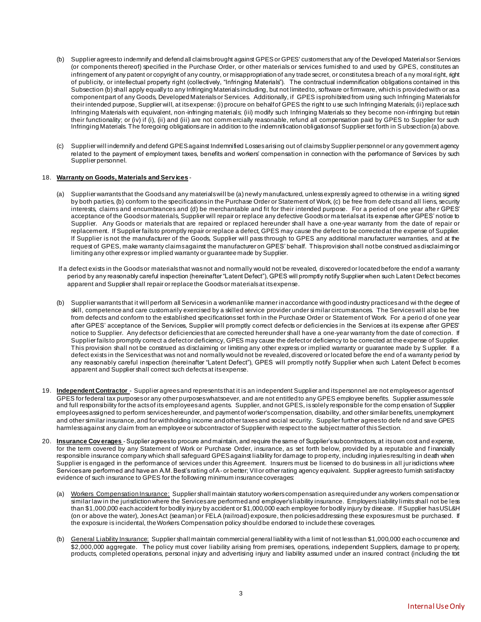- (b) Supplier agrees to indemnify and defend all claims brought against GPES or GPES' customers that any of the Developed Materials or Services (or components thereof) specified in the Purchase Order, or other materials or services furnished to and used by GPES, constitutes an infringement of any patent or copyright of any country, or misappropriation of any trade secret, or constitutes a breach of a ny moral right, right of publicity, or intellectual property right (collectively, "Infringing Materials"). The contractual indemnification obligations contained in this Subsection (b) shall apply equally to any Infringing Materials including, but not limited to, software or firmware, which is provided with or as a component part of any Goods, Developed Materials or Services. Additionally, if GPES is prohibited from using such Infringing Materials for their intended purpose, Supplier will, at its expense: (i) procure on behalf of GPES the right to u se such Infringing Materials; (ii) replace such Infringing Materials with equivalent, non-infringing materials; (iii) modify such Infringing Materials so they become non-infringing but retain their functionality; or (iv) if (i), (ii) and (iii) are not comm ercially reasonable, refund all compensation paid by GPES to Supplier for such Infringing Materials. The foregoing obligations are in addition to the indemnification obligations of Supplier set forth in S ubsection (a) above.
- (c) Supplier will indemnify and defend GPES against Indemnified Losses arising out of claims by Supplier personnel or any government agency related to the payment of employment taxes, benefits and workers' compensation in connection with the performance of Services by such Supplier personnel.

#### 18. **Warranty on Goods, Materials and Serv ices** -

- (a) Supplier warrants that the Goods and any materials will be (a) newly manufactured, unless expressly agreed to otherwise in a writing signed by both parties, (b) conform to the specifications in the Purchase Order or Statement of Work, (c) be free from defects and all liens, security interests, claims and encumbrances and (d) be merchantable and fit for their intended purpose. For a period of one year after GPES' acceptance of the Goods or materials, Supplier will repair or replace any defective Goods or ma terials at its expense after GPES' notice to Supplier. Any Goods or materials that are repaired or replaced hereunder shall have a one-year warranty from the date of repair or replacement. If Supplier fails to promptly repair or replace a defect, GPES may cause the defect to be corrected at the expense of Supplier. If Supplier is not the manufacturer of the Goods, Supplier will pass through to GPES any additional manufacturer warranties, and at the request of GPES, make warranty claims against the manufacturer on GPES' behalf. This provision shall not be construed as disclaiming or limiting any other express or implied warranty or guarantee made by Supplier.
- If a defect exists in the Goods or materials that was not and normally would not be revealed, discovered or located before the end of a warranty period by any reasonably careful inspection (hereinafter "Latent Defect"), GPES will promptly notify Supplier when such Laten t Defect becomes apparent and Supplier shall repair or replace the Goods or materials at its expense.
- (b) Supplier warrants that it will perform all Services in a workmanlike manner in accordance with good industry practices and wi th the degree of skill, competence and care customarily exercised by a skilled service provider under si milar circumstances. The Services will also be free from defects and conform to the established specifications set forth in the Purchase Order or Statement of Work. For a period of one year after GPES' acceptance of the Services, Supplier will promptly correct defects or deficiencies in the Services at its expense after GPES' notice to Supplier. Any defects or deficiencies that are corrected hereunder shall have a one-year warranty from the date of correction. If Supplier fails to promptly correct a defect or deficiency, GPES may cause the defect or deficiency to be corrected at the expense of Supplier. This provision shall not be construed as disclaiming or limiting any other express or implied warranty or guarantee made by S upplier. If a defect exists in the Services that was not and normally would not be revealed, discovered or located before the end of a warranty period by any reasonably careful inspection (hereinafter "Latent Defect"), GPES will promptly notify Supplier when such Latent Defect b ecomes apparent and Supplier shall correct such defects at its expense.
- 19. **Independent Contractor** Supplier agrees and represents that it is an independent Supplier and its personnel are not employees or agents of GPES for federal tax purposes or any other purposes whatsoever, and are not entitled to any GPES employee benefits. Supplier assumes sole and full responsibility for the acts of its employees and agents. Supplier, and not GPES, is solely responsible for the comp ensation of Supplier employees assigned to perform services hereunder, and payment of worker's compensation, disability, and other similar benefits, unemployment and other similar insurance, and for withholding income and other taxes and social security. Supplier further agrees to defe nd and save GPES harmless against any claim from an employee or subcontractor of Supplier with respect to the subject matter of this Section.
- 20. **Insurance Cov erages** Supplier agrees to procure and maintain, and require the same of Supplier's subcontractors, at its own cost and expense, for the term covered by any Statement of Work or Purchase Order, insurance, as set forth below, provided by a reputable and financially responsible insurance company which shall safeguard GPES against liability for damage to prop erty, including injuries resulting in death when Supplier is engaged in the performance of services under this Agreement. Insurers must be licensed to do business in all jurisdictions where Services are performed and have an A.M. Best's rating of A- or better; VII or other rating agency equivalent. Supplier agrees to furnish satisfactory evidence of such insurance to GPES for the following minimum insurance coverages:
	- (a) Workers Compensation Insurance: Supplier shall maintain statutory workers compensation as required under any workers compensation or similar law in the jurisdiction where the Services are performed and employer's liability insurance. Employers liability limits shall not be less than \$1,000,000 each accident for bodily injury by accident or \$1,000,000 each employee for bodily injury by disease. If Supplier has USL&H (on or above the water), Jones Act (seaman) or FELA (railroad) exposure, then policies addressing these exposures must be purchased. If the exposure is incidental, the Workers Compensation policy should be endorsed to include these coverages.
	- (b) General Liability Insurance: Supplier shall maintain commercial general liability with a limit of not less than \$1,000,000 each o ccurrence and \$2,000,000 aggregate. The policy must cover liability arising from premises, operations, independent Suppliers, damage to property, products, completed operations, personal injury and advertising injury and liability assumed under an insured contract (including the tort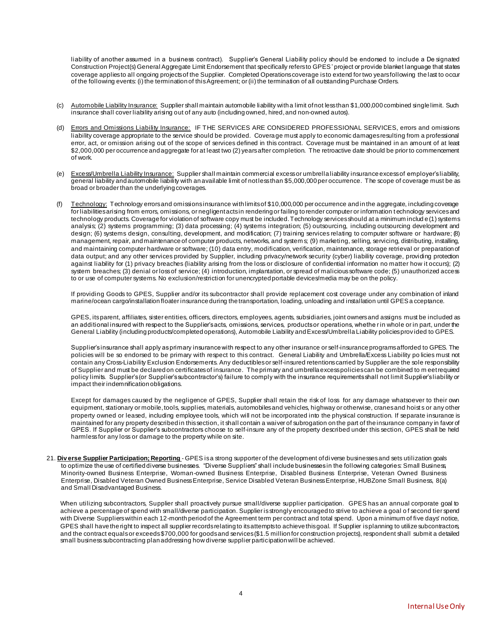liability of another assumed in a business contract). Supplier's General Liability policy should be endorsed to include a De signated Construction Project(s) General Aggregate Limit Endorsement that specifically refers to GPES' project or provide blanket language that states coverage applies to all ongoing projects of the Supplier. Completed Operations coverage is to extend for two years following the last to occur of the following events: (i) the termination of this Agreement; or (ii) the termination of all outstanding Purchase Orders.

- (c) Automobile Liability Insurance: Supplier shall maintain automobile liability with a limit of not less than \$1,000,000 combined single limit. Such insurance shall cover liability arising out of any auto (including owned, hired, and non-owned autos).
- (d) Errors and Omissions Liability Insurance: IF THE SERVICES ARE CONSIDERED PROFESSIONAL SERVICES, errors and omissions liability coverage appropriate to the service should be provided. Coverage must apply to economic damages resulting from a professional error, act, or omission arising out of the scope of services defined in this contract. Coverage must be maintained in an amount of at least \$2,000,000 per occurrence and aggregate for at least two (2) years after completion. The retroactive date should be prior to commencement of work.
- (e) Excess/Umbrella Liability Insurance: Supplier shall maintain commercial excess or umbrella liability insurance excess of employer'sliability, general liability and automobile liability with an available limit of not less than \$5,000,000 per occurrence. The scope of coverage must be as broad or broader than the underlying coverages.
- (f) Technology: Technology errors and omissions insurance with limits of \$10,000,000 per occurrence and in the aggregate, including coverage for liabilities arising from errors, omissions, or negligent acts in rendering or failing to render computer or information t echnology services and technology products. Coverage for violation of software copy must be included. Technology services should at a minimum includ e (1) systems analysis; (2) systems programming; (3) data processing; (4) systems integration; (5) outsourcing, including outsourcing development and design; (6) systems design, consulting, development, and modification; (7) training services relating to computer software or hardware; (8) management, repair, and maintenance of computer products, networks, and system s; (9) marketing, selling, servicing, distributing, installing, and maintaining computer hardware or software; (10) data entry, modification, verification, maintenance, storage retrieval or preparation of data output; and any other services provided by Supplier, including privacy/network security (cyber) liability coverage, providing protection against liability for (1) privacy breaches (liability arising from the loss or disclosure of confidential information no matter how it occurs); (2) system breaches; (3) denial or loss of service; (4) introduction, implantation, or spread of malicious software code; (5) unauthorized access to or use of computer systems. No exclusion/restriction for unencrypted portable devices/media may be on the policy.

If providing Goods to GPES, Supplier and/or its subcontractor shall provide replacement cost coverage under any combination of inland marine/ocean cargo/installation floater insurance during the transportation, loading, unloading and installation until GPES a cceptance.

GPES, its parent, affiliates, sister entities, officers, directors, employees, agents, subsidiaries, joint owners and assigns must be included as an additional insured with respect to the Supplier's acts, omissions, services, products or operations, whethe r in whole or in part, under the General Liability (including products/completed operations), Automobile Liability and Excess/Umbrella Liability policies prov ided to GPES.

Supplier's insurance shall apply as primary insurance with respect to any other insurance or self-insurance programs afforded to GPES. The policies will be so endorsed to be primary with respect to this contract. General Liability and Umbrella/Excess Liability po licies must not contain any Cross-Liability Exclusion Endorsements. Any deductibles or self-insured retentions carried by Supplier are the sole responsibility of Supplier and must be declared on certificates of insurance. The primary and umbrella excess policies can be combined to m eet required policy limits. Supplier's (or Supplier's subcontractor's) failure to comply with the insurance requirements shall not limit Supplier's liability or impact their indemnification obligations.

Except for damages caused by the negligence of GPES, Supplier shall retain the risk of loss for any damage whatsoever to their own equipment, stationary or mobile, tools, supplies, materials, automobiles and vehicles, highway or otherwise, cranes and hoist s or any other property owned or leased, including employee tools, which will not be incorporated into the physical construction. If separate insurance is maintained for any property described in this section, it shall contain a waiver of subrogation on the part of the insurance company in favor of GPES. If Supplier or Supplier's subcontractors choose to self-insure any of the property described under this section, GPES shall be held harmless for any loss or damage to the property while on site.

21. Diverse Supplier Participation; Reporting - GPES is a strong supporter of the development of diverse businesses and sets utilization goals to optimize the use of certified diverse businesses. "Diverse Suppliers" shall include businesses in the following categories: Small Business, Minority-owned Business Enterprise, Woman-owned Business Enterprise, Disabled Business Enterprise, Veteran Owned Business Enterprise, Disabled Veteran Owned Business Enterprise, Service Disabled Veteran Business Enterprise, HUBZone Small Business, 8(a) and Small Disadvantaged Business.

When utilizing subcontractors, Supplier shall proactively pursue small/diverse supplier participation. GPES has an annual corporate goal to achieve a percentage of spend with small/diverse participation. Supplier is strongly encouraged to strive to achieve a goal o f second tier spend with Diverse Suppliers within each 12-month period of the Agreement term per contract and total spend. Upon a minimum of five days' notice, GPES shall have the right to inspect all supplier records relating to its attempts to achieve this goal. If Supplier is planning to utilize subcontractors, and the contract equals or exceeds \$700,000 for goods and services (\$1.5 million for construction projects), respondent shall submit a detailed small business subcontracting plan addressing how diverse supplier participation will be achieved.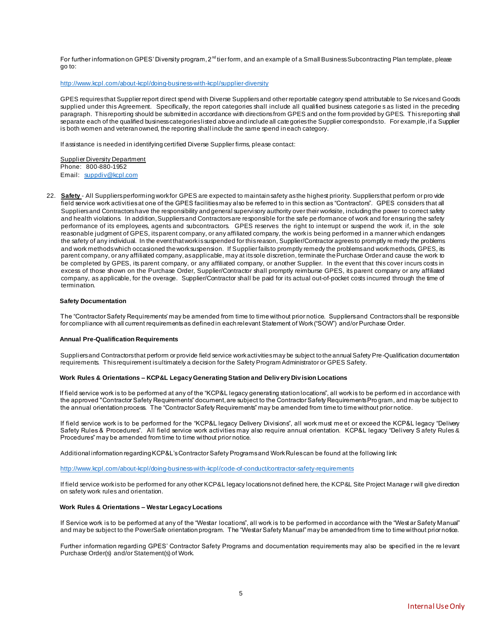For further information on GPES' Diversity program, 2<sup>nd</sup> tier form, and an example of a Small Business Subcontracting Plan template, please go to:

<http://www.kcpl.com/about-kcpl/doing-business-with-kcpl/supplier-diversity>

GPES requires that Supplier report direct spend with Diverse Suppliers and other reportable category spend attributable to Se rvices and Goods supplied under this Agreement. Specifically, the report categories shall include all qualified business categorie s as listed in the preceding paragraph. This reporting should be submitted in accordance with directions from GPES and on the form provided by GPES. This reporting shall separate each of the qualified business categories listed above and include all categories the Supplier corresponds to. For example, if a Supplier is both women and veteran owned, the reporting shall include the same spend in each category.

If assistance is needed in identifying certified Diverse Supplier firms, please contact:

Supplier Diversity Department Phone: 800-880-1952 Email: suppdiv@kcpl.com

22. **Safety** - All Suppliers performing work for GPES are expected to maintain safety as the highest priority. Suppliers that perform or pro vide field service work activities at one of the GPES facilities may also be referred to in this section as "Contractors". GPES considers that all Suppliers and Contractors have the responsibility and general supervisory authority over their worksite, including the power to correct safety and health violations. In addition, Suppliers and Contractors are responsible for the safe pe rformance of work and for ensuring the safety performance of its employees, agents and subcontractors. GPES reserves the right to interrupt or suspend the work if, in the sole reasonable judgment of GPES, its parent company, or any affiliated company, the work is being performed in a manner which endangers the safety of any individual. In the event that work is suspended for this reason, Supplier/Contractor agrees to promptly re medy the problems and work methods which occasioned the work suspension. If Supplier fails to promptly remedy the problems and work methods, GPES, its parent company, or any affiliated company, as applicable, may at its sole discretion, terminate the Purchase Order and cause the work to be completed by GPES, its parent company, or any affiliated company, or another Supplier. In the event that this cover incurs costs in excess of those shown on the Purchase Order, Supplier/Contractor shall promptly reimburse GPES, its parent company or any affiliated company, as applicable, for the overage. Supplier/Contractor shall be paid for its actual out-of-pocket costs incurred through the time of termination.

#### **Safety Documentation**

The "Contractor Safety Requirements' may be amended from time to time without prior notice. Suppliers and Contractors shall be responsible for compliance with all current requirements as defined in each relevant Statement of Work ("SOW") and/or Purchase Order.

#### **Annual Pre-Qualification Requirements**

Suppliers and Contractors that perform or provide field service work activities may be subject to the annual Safety Pre-Qualification documentation requirements. This requirement is ultimately a decision for the Safety Program Administrator or GPES Safety.

#### **Work Rules & Orientations – KCP&L Legacy Generating Station and Deliv ery Div ision Locations**

If field service work is to be performed at any of the "KCP&L legacy generating station locations", all work is to be perform ed in accordance with the approved "Contractor Safety Requirements" document, are subject to the Contractor Safety Requirements Pro gram, and may be subject to the annual orientation process. The "Contractor Safety Requirements" may be amended from time to time without prior notice.

If field service work is to be performed for the "KCP&L legacy Delivery Divisions", all work must me et or exceed the KCP&L legacy "Delivery Safety Rules & Procedures". All field service work activities may also require annual orientation. KCP&L legacy "Delivery S afety Rules & Procedures" may be amended from time to time without prior notice.

Additional information regarding KCP&L's Contractor Safety Programs and Work Rules can be found at the following link:

<http://www.kcpl.com/about-kcpl/doing-business-with-kcpl/code-of-conduct/contractor-safety-requirements>

If field service work is to be performed for any other KCP&L legacy locations not defined here, the KCP&L Site Project Manage r will give direction on safety work rules and orientation.

#### **Work Rules & Orientations – Westar Legacy Locations**

If Service work is to be performed at any of the "Westar locations", all work is to be performed in accordance with the "West ar Safety Manual" and may be subject to the PowerSafe orientation program. The "Westar Safety Manual" may be amended from time to time without prior notice.

Further information regarding GPES' Contractor Safety Programs and documentation requirements may also be specified in the re levant Purchase Order(s) and/or Statement(s) of Work.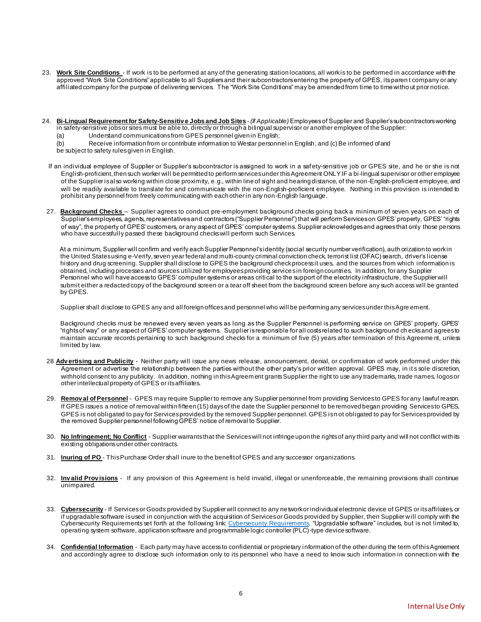- 23. **Work Site Conditions** If work is to be performed at any of the generating station locations, all work is to be performed in accordance with the approved "Work Site Conditions" applicable to all Suppliers and their subcontractors entering the property of GPES, its paren t company or any affiliated company for the purpose of delivering services. The "Work Site Conditions" may be amended from time to time witho ut prior notice.
- 24. **Bi-Lingual Requirement for Safety-Sensitiv e Jobs and Job Sites** *(If Applicable)* Employees of Supplier and Supplier's subcontractors working in safety-sensitive jobs or sites must be able to, directly or through a bilingual supervisor or another employee of the Supplier:
	- (a) Understand communications from GPES personnel given in English;
	- (b) Receive information from or contribute information to Westar personnel in English; and (c) Be informed of and
	- be subject to safety rules given in English.
	- If an individual employee of Supplier or Supplier's subcontractor is assigned to work in a saf ety-sensitive job or GPES site, and he or she is not English-proficient, then such worker will be permitted to perform services under this Agreement ONLY IF a bi-lingual supervisor or other employee of the Supplier is also working within close proximity, e.g., within line of sight and hearing distance, of the non-English-proficient employee, and will be readily available to translate for and communicate with the non-English-proficient employee. Nothing in this provision is intended to prohibit any personnel from freely communicating with each other in any non-English language.
- 27. **Background Checks** Supplier agrees to conduct pre-employment background checks going back a minimum of seven years on each of Supplier's employees, agents, representatives and contractors ("Supplier Personnel") that will perform Services on GPES' property, GPES' "rights of way", the property of GPES' customers, or any aspect of GPES' computer systems. Supplier acknowledges and agrees that only those persons who have successfully passed these background checks will perform such Services.

At a minimum, Supplier will confirm and verify each Supplier Personnel's identity (social security number verification), auth orization to work in the United States using e-Verify, seven year federal and multi-county criminal conviction check, terrorist list (OFAC) search, driver's license history and drug screening. Supplier shall disclose to GPES the background check process it uses, and the sources from which information is obtained, including processes and sources utilized for employees providing services in foreign countries. In addition, for any Supplier Personnel who will have access to GPES' computer systems or areas critical to the support of the electricity infrastructure, the Supplier will submit either a redacted copy of the background screen or a tear off sheet from the background screen before any such access will be granted by GPES.

Supplier shall disclose to GPES any and all foreign offices and personnel who will be performing any services under this Agre ement.

Background checks must be renewed every seven years as long as the Supplier Personnel is performing service on GPES' property, GPES' "rights of way" or any aspect of GPES' computer systems. Supplier is responsible for all costs related to such background ch ecks and agrees to maintain accurate records pertaining to such background checks for a minimum of five (5) years after termination of this Agreeme nt, unless limited by law.

- 28 **Adv ertising and Publicity** Neither party will issue any news release, announcement, denial, or confirmation of work performed under this Agreement or advertise the relationship between the parties without the other party's prior written approval. GPES may, in it s sole discretion, withhold consent to any publicity. In addition, nothing in this Agreem ent grants Supplier the right to use any trademarks, trade names, logos or other intellectual property of GPES or its affiliates.
- 29. **Remov al of Personnel** GPES may require Supplier to remove any Supplier personnel from providing Services to GPES for any lawful reason. If GPES issues a notice of removal within fifteen (15) days of the date the Supplier personnel to be removed began providing Services to GPES, GPES is not obligated to pay for Services provided by the removed Supplier personnel. GPES is n ot obligated to pay for Services provided by the removed Supplier personnel following GPES' notice of removal to Supplier.
- 30. **No Infringement; No Conflict** Supplier warrants that the Services will not infringe upon the rights of any third party and will not conflict with its existing obligations under other contracts.
- 31. **Inuring of PO** This Purchase Order shall inure to the benefit of GPES and any successor organizations.
- 32. **Inv alid Prov isions** If any provision of this Agreement is held invalid, illegal or unenforceable, the remaining provisions shall continue unimpaired.
- 33. **Cybersecurity** If Services or Goods provided by Supplier will connect to any network or individual electronic device of GPES or its affiliates, or if upgradable software is used in conjunction with the acquisition of Services or Goods provided by Supplier, then Supplier will comply with the [Cybersecurity Requirements](https://www.westarenergy.com/Portals/0/Resources/Documents/PDFs/CyberSecurity_Requirements_Updated_04.01.2019.pdf) set forth at the following link: <u>Cybersecurity Requirements</u>. "Upgradable software" includes, but is not limited to, operating system software, application software and programmable logic controller (PLC)-type device software.
- 34. **Confidential Information** Each party may have access to confidential or proprietary i nformation of the other during the term of this Agreement and accordingly agree to disclose such information only to its personnel who have a need to know such information in connecti on with the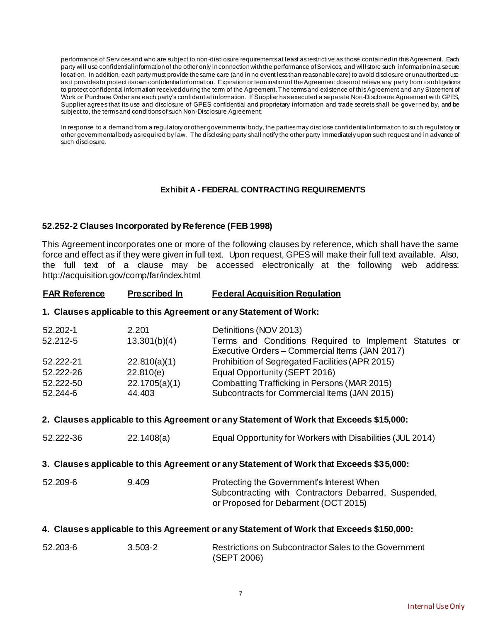performance of Services and who are subject to non-disclosure requirements at least as restrictive as those contained in this Agreement. Each party will use confidential information of the other only in connection with the performance of Services, and will store such information in a secure location. In addition, each party must provide the same care (and in no event less than reasonable care) to avoid disclosure or unauthorized use as it provides to protect its own confidential information. Expiration or termination of the Agreement does not relieve any party from its obligations to protect confidential information received during the term of the Agreement. The terms and existence of this Agreement and any Statement of Work or Purchase Order are each party's confidential information. If Supplier has executed a se parate Non-Disclosure Agreement with GPES, Supplier agrees that its use and disclosure of GPES confidential and proprietary information and trade secrets shall be governed by, and be subject to, the terms and conditions of such Non-Disclosure Agreement.

In response to a demand from a regulatory or other governmental body, the parties may disclose confidential information to su ch regulatory or other governmental body as required by law. The disclosing party shall notify the other party immediately upon such request and in advance of such disclosure.

### **Exhibit A - FEDERAL CONTRACTING REQUIREMENTS**

### **52.252-2 Clauses Incorporated by Reference (FEB 1998)**

This Agreement incorporates one or more of the following clauses by reference, which shall have the same force and effect as if they were given in full text. Upon request, GPES will make their full text available. Also, the full text of a clause may be accessed electronically at the following web address: http://acquisition.gov/comp/far/index.html

#### **FAR Reference Prescribed In Federal Acquisition Regulation**

#### **1. Clauses applicable to this Agreement or any Statement of Work:**

| 52.202-1  | 2.201         | Definitions (NOV 2013)                                 |  |
|-----------|---------------|--------------------------------------------------------|--|
| 52.212-5  | 13.301(b)(4)  | Terms and Conditions Required to Implement Statutes or |  |
|           |               | Executive Orders - Commercial Items (JAN 2017)         |  |
| 52.222-21 | 22.810(a)(1)  | Prohibition of Segregated Facilities (APR 2015)        |  |
| 52.222-26 | 22.810(e)     | Equal Opportunity (SEPT 2016)                          |  |
| 52.222-50 | 22.1705(a)(1) | Combatting Trafficking in Persons (MAR 2015)           |  |
| 52.244-6  | 44.403        | Subcontracts for Commercial Items (JAN 2015)           |  |

#### **2. Clauses applicable to this Agreement or any Statement of Work that Exceeds \$15,000:**

| 52.222-36                                                                                | 22.1408(a) | Equal Opportunity for Workers with Disabilities (JUL 2014)                                                                                |  |
|------------------------------------------------------------------------------------------|------------|-------------------------------------------------------------------------------------------------------------------------------------------|--|
| 3. Clauses applicable to this Agreement or any Statement of Work that Exceeds \$3 5,000: |            |                                                                                                                                           |  |
| 52.209-6                                                                                 | 9.409      | Protecting the Government's Interest When<br>Subcontracting with Contractors Debarred, Suspended,<br>or Proposed for Debarment (OCT 2015) |  |

# **4. Clauses applicable to this Agreement or any Statement of Work that Exceeds \$150,000:**

| 52.203-6 | $3.503 - 2$ | Restrictions on Subcontractor Sales to the Government |
|----------|-------------|-------------------------------------------------------|
|          |             | (SEPT 2006)                                           |